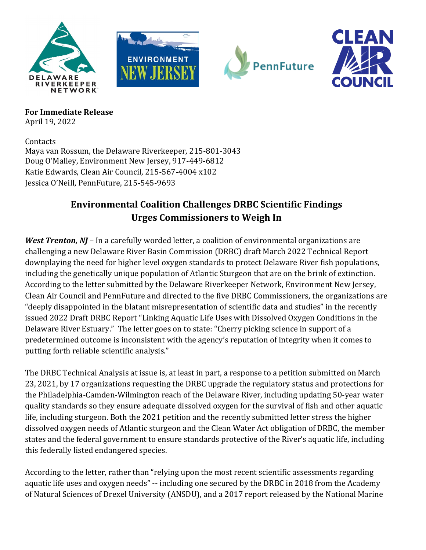







**For Immediate Release** April 19, 2022

**Contacts** Maya van Rossum, the Delaware Riverkeeper, 215-801-3043 Doug O'Malley, Environment New Jersey, 917-449-6812 Katie Edwards, Clean Air Council, 215-567-4004 x102 Jessica O'Neill, PennFuture, 215-545-9693

## **Environmental Coalition Challenges DRBC Scientific Findings Urges Commissioners to Weigh In**

*West Trenton, NJ* – In a carefully worded letter, a coalition of environmental organizations are challenging a new Delaware River Basin Commission (DRBC) draft March 2022 Technical Report downplaying the need for higher level oxygen standards to protect Delaware River fish populations, including the genetically unique population of Atlantic Sturgeon that are on the brink of extinction. According to the letter submitted by the Delaware Riverkeeper Network, Environment New Jersey, Clean Air Council and PennFuture and directed to the five DRBC Commissioners, the organizations are "deeply disappointed in the blatant misrepresentation of scientific data and studies" in the recently issued 2022 Draft DRBC Report "Linking Aquatic Life Uses with Dissolved Oxygen Conditions in the Delaware River Estuary." The letter goes on to state: "Cherry picking science in support of a predetermined outcome is inconsistent with the agency's reputation of integrity when it comes to putting forth reliable scientific analysis."

The DRBC Technical Analysis at issue is, at least in part, a response to a petition submitted on March 23, 2021, by 17 organizations requesting the DRBC upgrade the regulatory status and protections for the Philadelphia-Camden-Wilmington reach of the Delaware River, including updating 50-year water quality standards so they ensure adequate dissolved oxygen for the survival of fish and other aquatic life, including sturgeon. Both the 2021 petition and the recently submitted letter stress the higher dissolved oxygen needs of Atlantic sturgeon and the Clean Water Act obligation of DRBC, the member states and the federal government to ensure standards protective of the River's aquatic life, including this federally listed endangered species.

According to the letter, rather than "relying upon the most recent scientific assessments regarding aquatic life uses and oxygen needs" -- including one secured by the DRBC in 2018 from the Academy of Natural Sciences of Drexel University (ANSDU), and a 2017 report released by the National Marine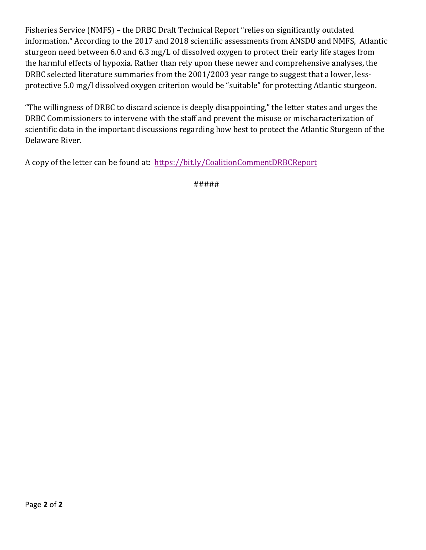Fisheries Service (NMFS) – the DRBC Draft Technical Report "relies on significantly outdated information." According to the 2017 and 2018 scientific assessments from ANSDU and NMFS, Atlantic sturgeon need between 6.0 and 6.3 mg/L of dissolved oxygen to protect their early life stages from the harmful effects of hypoxia. Rather than rely upon these newer and comprehensive analyses, the DRBC selected literature summaries from the 2001/2003 year range to suggest that a lower, lessprotective 5.0 mg/l dissolved oxygen criterion would be "suitable" for protecting Atlantic sturgeon.

"The willingness of DRBC to discard science is deeply disappointing," the letter states and urges the DRBC Commissioners to intervene with the staff and prevent the misuse or mischaracterization of scientific data in the important discussions regarding how best to protect the Atlantic Sturgeon of the Delaware River.

A copy of the letter can be found at: <https://bit.ly/CoalitionCommentDRBCReport>

#####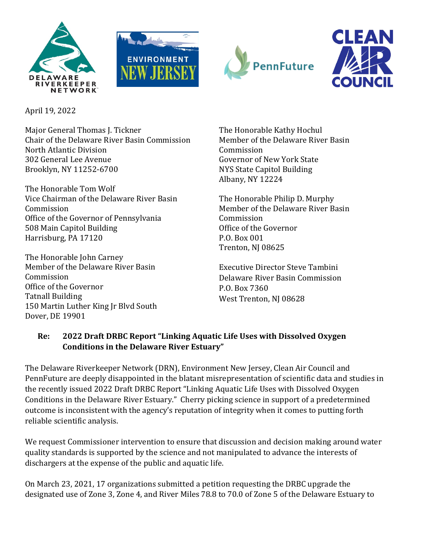







April 19, 2022

Major General Thomas J. Tickner Chair of the Delaware River Basin Commission North Atlantic Division 302 General Lee Avenue Brooklyn, NY 11252-6700

The Honorable Tom Wolf Vice Chairman of the Delaware River Basin Commission Office of the Governor of Pennsylvania 508 Main Capitol Building Harrisburg, PA 17120

The Honorable John Carney Member of the Delaware River Basin Commission Office of the Governor Tatnall Building 150 Martin Luther King Jr Blvd South Dover, DE 19901

The Honorable Kathy Hochul Member of the Delaware River Basin Commission Governor of New York State NYS State Capitol Building Albany, NY 12224

The Honorable Philip D. Murphy Member of the Delaware River Basin Commission Office of the Governor P.O. Box 001 Trenton, NJ 08625

Executive Director Steve Tambini Delaware River Basin Commission P.O. Box 7360 West Trenton, NJ 08628

## **Re: 2022 Draft DRBC Report "Linking Aquatic Life Uses with Dissolved Oxygen Conditions in the Delaware River Estuary"**

The Delaware Riverkeeper Network (DRN), Environment New Jersey, Clean Air Council and PennFuture are deeply disappointed in the blatant misrepresentation of scientific data and studies in the recently issued 2022 Draft DRBC Report "Linking Aquatic Life Uses with Dissolved Oxygen Conditions in the Delaware River Estuary." Cherry picking science in support of a predetermined outcome is inconsistent with the agency's reputation of integrity when it comes to putting forth reliable scientific analysis.

We request Commissioner intervention to ensure that discussion and decision making around water quality standards is supported by the science and not manipulated to advance the interests of dischargers at the expense of the public and aquatic life.

On March 23, 2021, 17 organizations submitted a petition requesting the DRBC upgrade the designated use of Zone 3, Zone 4, and River Miles 78.8 to 70.0 of Zone 5 of the Delaware Estuary to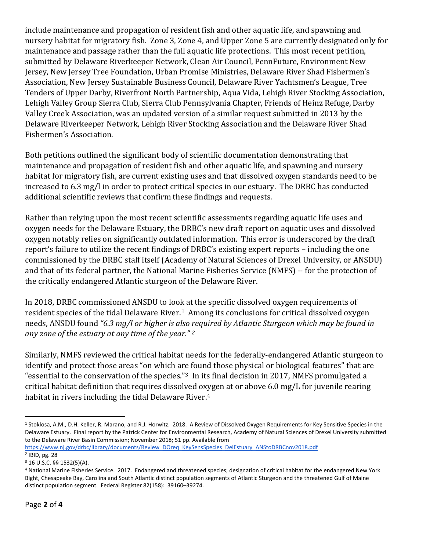include maintenance and propagation of resident fish and other aquatic life, and spawning and nursery habitat for migratory fish. Zone 3, Zone 4, and Upper Zone 5 are currently designated only for maintenance and passage rather than the full aquatic life protections. This most recent petition, submitted by Delaware Riverkeeper Network, Clean Air Council, PennFuture, Environment New Jersey, New Jersey Tree Foundation, Urban Promise Ministries, Delaware River Shad Fishermen's Association, New Jersey Sustainable Business Council, Delaware River Yachtsmen's League, Tree Tenders of Upper Darby, Riverfront North Partnership, Aqua Vida, Lehigh River Stocking Association, Lehigh Valley Group Sierra Club, Sierra Club Pennsylvania Chapter, Friends of Heinz Refuge, Darby Valley Creek Association, was an updated version of a similar request submitted in 2013 by the Delaware Riverkeeper Network, Lehigh River Stocking Association and the Delaware River Shad Fishermen's Association.

Both petitions outlined the significant body of scientific documentation demonstrating that maintenance and propagation of resident fish and other aquatic life, and spawning and nursery habitat for migratory fish, are current existing uses and that dissolved oxygen standards need to be increased to 6.3 mg/l in order to protect critical species in our estuary. The DRBC has conducted additional scientific reviews that confirm these findings and requests.

Rather than relying upon the most recent scientific assessments regarding aquatic life uses and oxygen needs for the Delaware Estuary, the DRBC's new draft report on aquatic uses and dissolved oxygen notably relies on significantly outdated information. This error is underscored by the draft report's failure to utilize the recent findings of DRBC's existing expert reports – including the one commissioned by the DRBC staff itself (Academy of Natural Sciences of Drexel University, or ANSDU) and that of its federal partner, the National Marine Fisheries Service (NMFS) -- for the protection of the critically endangered Atlantic sturgeon of the Delaware River.

In 2018, DRBC commissioned ANSDU to look at the specific dissolved oxygen requirements of resident species of the tidal Delaware River.<sup>[1](#page-3-0)</sup> Among its conclusions for critical dissolved oxygen needs, ANSDU found *"6.3 mg/l or higher is also required by Atlantic Sturgeon which may be found in any zone of the estuary at any time of the year." [2](#page-3-1)*

Similarly, NMFS reviewed the critical habitat needs for the federally-endangered Atlantic sturgeon to identify and protect those areas "on which are found those physical or biological features" that are "essential to the conservation of the species."[3](#page-3-2) In its final decision in 2017, NMFS promulgated a critical habitat definition that requires dissolved o[xy](#page-3-3)gen at or above 6.0 mg/L for juvenile rearing habitat in rivers including the tidal Delaware River.4

<span id="page-3-0"></span> <sup>1</sup> Stoklosa, A.M., D.H. Keller, R. Marano, and R.J. Horwitz. 2018. A Review of Dissolved Oxygen Requirements for Key Sensitive Species in the Delaware Estuary. Final report by the Patrick Center for Environmental Research, Academy of Natural Sciences of Drexel University submitted to the Delaware River Basin Commission; November 2018; 51 pp. Available from

[https://www.nj.gov/drbc/library/documents/Review\\_DOreq\\_KeySensSpecies\\_DelEstuary\\_ANStoDRBCnov2018.pdf](https://www.nj.gov/drbc/library/documents/Review_DOreq_KeySensSpecies_DelEstuary_ANStoDRBCnov2018.pdf) <sup>2</sup> IBID, pg. 28

<span id="page-3-2"></span><span id="page-3-1"></span><sup>3</sup> 16 U.S.C. §§ 1532(5)(A).

<span id="page-3-3"></span><sup>4</sup> National Marine Fisheries Service. 2017. Endangered and threatened species; designation of critical habitat for the endangered New York Bight, Chesapeake Bay, Carolina and South Atlantic distinct population segments of Atlantic Sturgeon and the threatened Gulf of Maine distinct population segment. Federal Register 82(158): 39160–39274.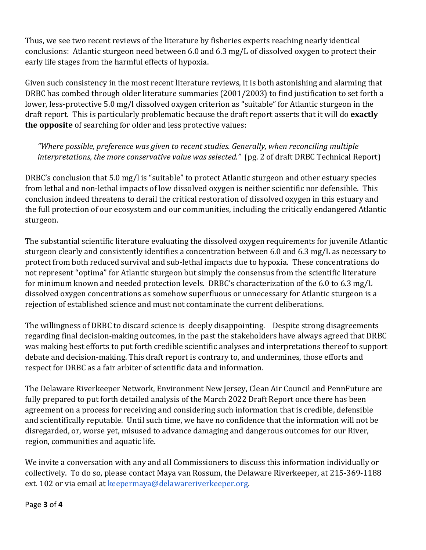Thus, we see two recent reviews of the literature by fisheries experts reaching nearly identical conclusions: Atlantic sturgeon need between 6.0 and 6.3 mg/L of dissolved oxygen to protect their early life stages from the harmful effects of hypoxia.

Given such consistency in the most recent literature reviews, it is both astonishing and alarming that DRBC has combed through older literature summaries (2001/2003) to find justification to set forth a lower, less-protective 5.0 mg/l dissolved oxygen criterion as "suitable" for Atlantic sturgeon in the draft report. This is particularly problematic because the draft report asserts that it will do **exactly the opposite** of searching for older and less protective values:

 *"Where possible, preference was given to recent studies. Generally, when reconciling multiple interpretations, the more conservative value was selected."* (pg. 2 of draft DRBC Technical Report)

DRBC's conclusion that 5.0 mg/l is "suitable" to protect Atlantic sturgeon and other estuary species from lethal and non-lethal impacts of low dissolved oxygen is neither scientific nor defensible. This conclusion indeed threatens to derail the critical restoration of dissolved oxygen in this estuary and the full protection of our ecosystem and our communities, including the critically endangered Atlantic sturgeon.

The substantial scientific literature evaluating the dissolved oxygen requirements for juvenile Atlantic sturgeon clearly and consistently identifies a concentration between 6.0 and 6.3 mg/L as necessary to protect from both reduced survival and sub-lethal impacts due to hypoxia. These concentrations do not represent "optima" for Atlantic sturgeon but simply the consensus from the scientific literature for minimum known and needed protection levels. DRBC's characterization of the 6.0 to 6.3 mg/L dissolved oxygen concentrations as somehow superfluous or unnecessary for Atlantic sturgeon is a rejection of established science and must not contaminate the current deliberations.

The willingness of DRBC to discard science is deeply disappointing. Despite strong disagreements regarding final decision-making outcomes, in the past the stakeholders have always agreed that DRBC was making best efforts to put forth credible scientific analyses and interpretations thereof to support debate and decision-making. This draft report is contrary to, and undermines, those efforts and respect for DRBC as a fair arbiter of scientific data and information.

The Delaware Riverkeeper Network, Environment New Jersey, Clean Air Council and PennFuture are fully prepared to put forth detailed analysis of the March 2022 Draft Report once there has been agreement on a process for receiving and considering such information that is credible, defensible and scientifically reputable. Until such time, we have no confidence that the information will not be disregarded, or, worse yet, misused to advance damaging and dangerous outcomes for our River, region, communities and aquatic life.

We invite a conversation with any and all Commissioners to discuss this information individually or collectively. To do so, please contact Maya van Rossum, the Delaware Riverkeeper, at 215-369-1188 ext. 102 or via email a[t keepermaya@delawareriverkeeper.org.](mailto:keepermaya@delawareriverkeeper.org)